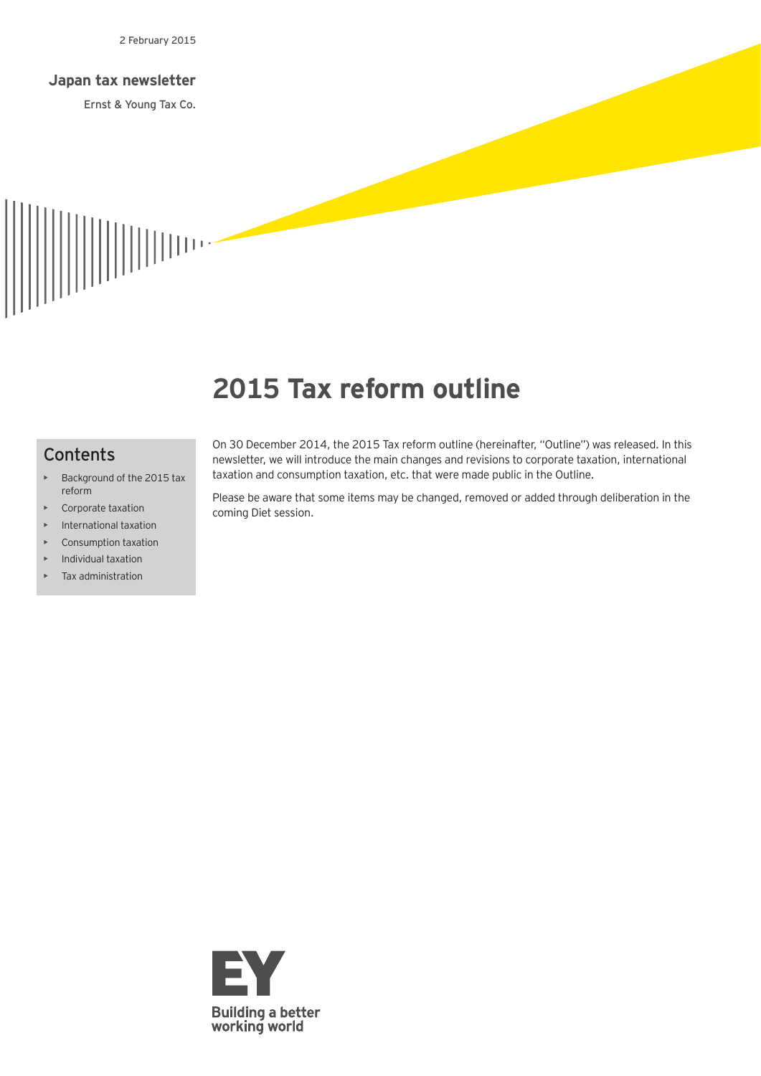#### **Japan tax newsletter**

Ernst & Young Tax Co.



# **2015 Tax reform outline**

## **Contents**

- Background of the 2015 tax reform
- Corporate taxation
- International taxation
- Consumption taxation
- Individual taxation
- Tax administration

On 30 December 2014, the 2015 Tax reform outline (hereinafter, "Outline") was released. In this newsletter, we will introduce the main changes and revisions to corporate taxation, international taxation and consumption taxation, etc. that were made public in the Outline.

Please be aware that some items may be changed, removed or added through deliberation in the coming Diet session.

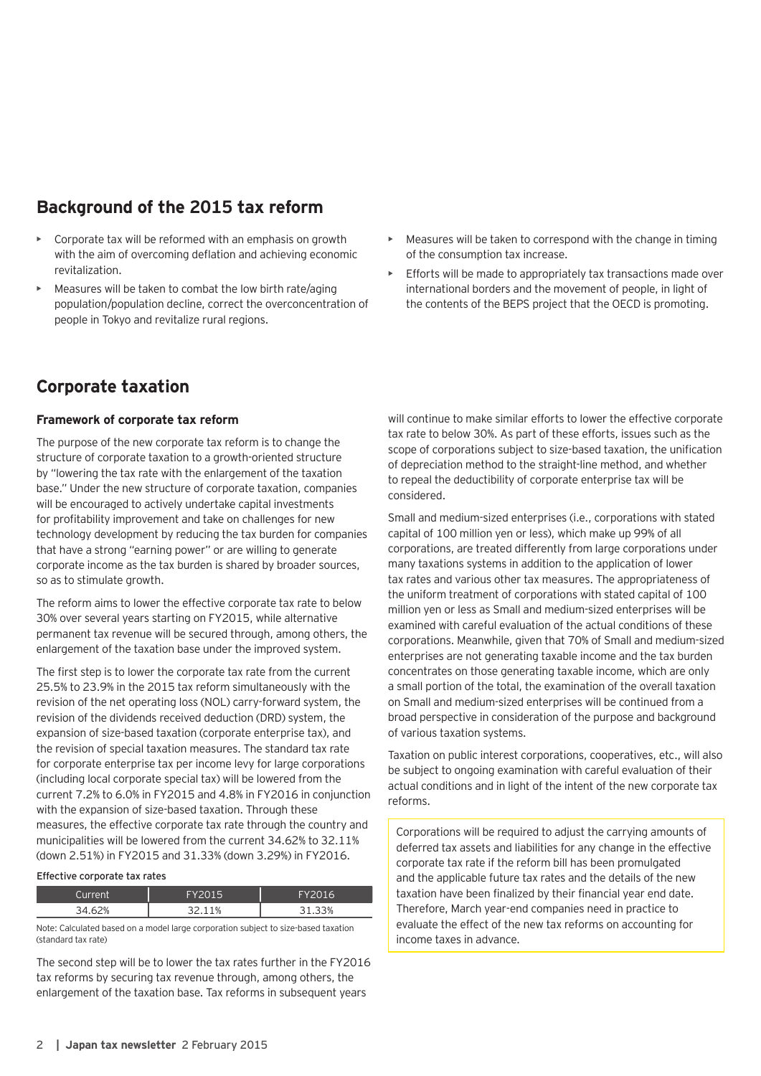# **Background of the 2015 tax reform**

- Corporate tax will be reformed with an emphasis on growth with the aim of overcoming deflation and achieving economic revitalization.
- Measures will be taken to combat the low birth rate/aging population/population decline, correct the overconcentration of people in Tokyo and revitalize rural regions.

# **Corporate taxation**

#### **Framework of corporate tax reform**

The purpose of the new corporate tax reform is to change the structure of corporate taxation to a growth-oriented structure by "lowering the tax rate with the enlargement of the taxation base." Under the new structure of corporate taxation, companies will be encouraged to actively undertake capital investments for profitability improvement and take on challenges for new technology development by reducing the tax burden for companies that have a strong "earning power" or are willing to generate corporate income as the tax burden is shared by broader sources, so as to stimulate growth.

The reform aims to lower the effective corporate tax rate to below 30% over several years starting on FY2015, while alternative permanent tax revenue will be secured through, among others, the enlargement of the taxation base under the improved system.

The first step is to lower the corporate tax rate from the current 25.5% to 23.9% in the 2015 tax reform simultaneously with the revision of the net operating loss (NOL) carry-forward system, the revision of the dividends received deduction (DRD) system, the expansion of size-based taxation (corporate enterprise tax), and the revision of special taxation measures. The standard tax rate for corporate enterprise tax per income levy for large corporations (including local corporate special tax) will be lowered from the current 7.2% to 6.0% in FY2015 and 4.8% in FY2016 in conjunction with the expansion of size-based taxation. Through these measures, the effective corporate tax rate through the country and municipalities will be lowered from the current 34.62% to 32.11% (down 2.51%) in FY2015 and 31.33% (down 3.29%) in FY2016.

**Effective corporate tax rates**

| ∩urrent | <b>FVON15</b> | FY2016    |
|---------|---------------|-----------|
| ۱Л      | 110%<br>つつ    | .33%<br>ٮ |

Note: Calculated based on a model large corporation subject to size-based taxation (standard tax rate)

The second step will be to lower the tax rates further in the FY2016 tax reforms by securing tax revenue through, among others, the enlargement of the taxation base. Tax reforms in subsequent years

- Measures will be taken to correspond with the change in timing of the consumption tax increase.
- Efforts will be made to appropriately tax transactions made over international borders and the movement of people, in light of the contents of the BEPS project that the OECD is promoting.

will continue to make similar efforts to lower the effective corporate tax rate to below 30%. As part of these efforts, issues such as the scope of corporations subject to size-based taxation, the unification of depreciation method to the straight-line method, and whether to repeal the deductibility of corporate enterprise tax will be considered.

Small and medium-sized enterprises (i.e., corporations with stated capital of 100 million yen or less), which make up 99% of all corporations, are treated differently from large corporations under many taxations systems in addition to the application of lower tax rates and various other tax measures. The appropriateness of the uniform treatment of corporations with stated capital of 100 million yen or less as Small and medium-sized enterprises will be examined with careful evaluation of the actual conditions of these corporations. Meanwhile, given that 70% of Small and medium-sized enterprises are not generating taxable income and the tax burden concentrates on those generating taxable income, which are only a small portion of the total, the examination of the overall taxation on Small and medium-sized enterprises will be continued from a broad perspective in consideration of the purpose and background of various taxation systems.

Taxation on public interest corporations, cooperatives, etc., will also be subject to ongoing examination with careful evaluation of their actual conditions and in light of the intent of the new corporate tax reforms.

Corporations will be required to adjust the carrying amounts of deferred tax assets and liabilities for any change in the effective corporate tax rate if the reform bill has been promulgated and the applicable future tax rates and the details of the new taxation have been finalized by their financial year end date. Therefore, March year-end companies need in practice to evaluate the effect of the new tax reforms on accounting for income taxes in advance.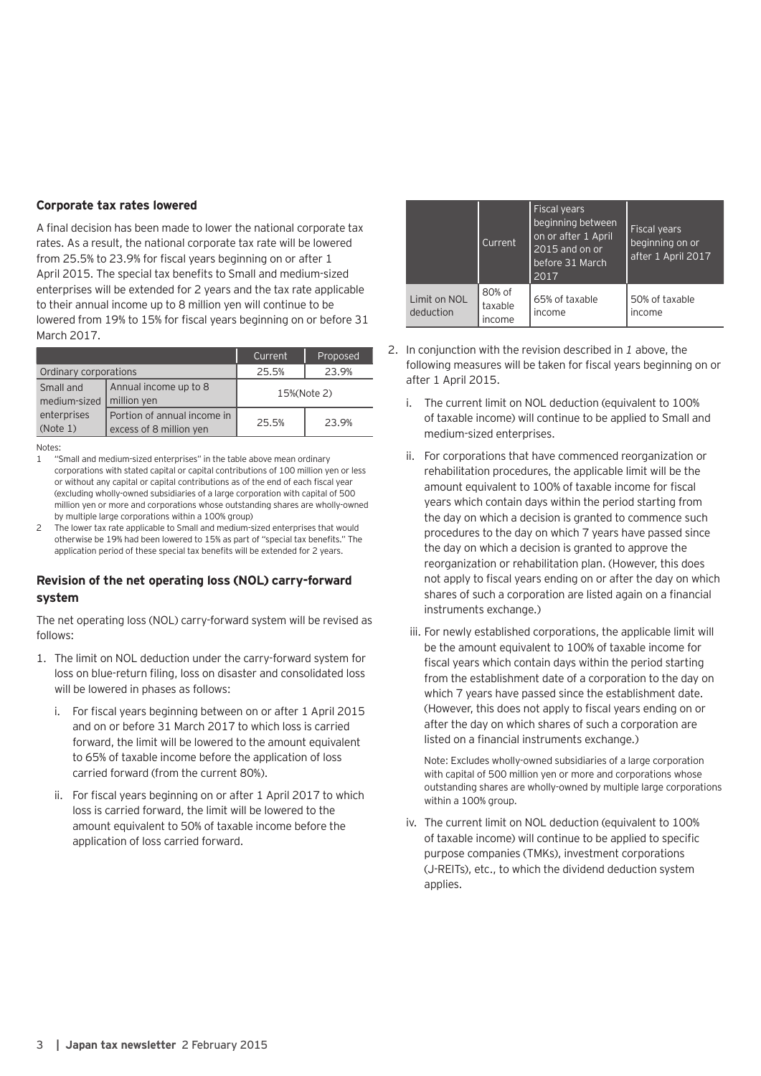#### **Corporate tax rates lowered**

A final decision has been made to lower the national corporate tax rates. As a result, the national corporate tax rate will be lowered from 25.5% to 23.9% for fiscal years beginning on or after 1 April 2015. The special tax benefits to Small and medium-sized enterprises will be extended for 2 years and the tax rate applicable to their annual income up to 8 million yen will continue to be lowered from 19% to 15% for fiscal years beginning on or before 31 March 2017.

|                           |                                                        | Current | Proposed    |
|---------------------------|--------------------------------------------------------|---------|-------------|
| Ordinary corporations     |                                                        | 25.5%   | 23.9%       |
| Small and<br>medium-sized | Annual income up to 8<br>million yen                   |         | 15%(Note 2) |
| enterprises<br>(Note 1)   | Portion of annual income in<br>excess of 8 million yen | 25.5%   | 23.9%       |

Notes:

- "Small and medium-sized enterprises" in the table above mean ordinary corporations with stated capital or capital contributions of 100 million yen or less or without any capital or capital contributions as of the end of each fiscal year (excluding wholly-owned subsidiaries of a large corporation with capital of 500 million yen or more and corporations whose outstanding shares are wholly-owned by multiple large corporations within a 100% group)
- 2 The lower tax rate applicable to Small and medium-sized enterprises that would otherwise be 19% had been lowered to 15% as part of "special tax benefits." The application period of these special tax benefits will be extended for 2 years.

#### **Revision of the net operating loss (NOL) carry-forward system**

The net operating loss (NOL) carry-forward system will be revised as follows:

- 1. The limit on NOL deduction under the carry-forward system for loss on blue-return filing, loss on disaster and consolidated loss will be lowered in phases as follows:
	- i. For fiscal years beginning between on or after 1 April 2015 and on or before 31 March 2017 to which loss is carried forward, the limit will be lowered to the amount equivalent to 65% of taxable income before the application of loss carried forward (from the current 80%).
	- ii. For fiscal years beginning on or after 1 April 2017 to which loss is carried forward, the limit will be lowered to the amount equivalent to 50% of taxable income before the application of loss carried forward.

|                           | Current                     | <b>Fiscal years</b><br>beginning between<br>on or after 1 April<br>2015 and on or<br>before 31 March<br>2017 | <b>Fiscal years</b><br>beginning on or<br>after 1 April 2017 |
|---------------------------|-----------------------------|--------------------------------------------------------------------------------------------------------------|--------------------------------------------------------------|
| Limit on NOL<br>deduction | 80% of<br>taxable<br>income | 65% of taxable<br>income                                                                                     | 50% of taxable<br>income                                     |

- 2. In conjunction with the revision described in *1* above, the following measures will be taken for fiscal years beginning on or after 1 April 2015.
	- i. The current limit on NOL deduction (equivalent to 100% of taxable income) will continue to be applied to Small and medium-sized enterprises.
	- ii. For corporations that have commenced reorganization or rehabilitation procedures, the applicable limit will be the amount equivalent to 100% of taxable income for fiscal years which contain days within the period starting from the day on which a decision is granted to commence such procedures to the day on which 7 years have passed since the day on which a decision is granted to approve the reorganization or rehabilitation plan. (However, this does not apply to fiscal years ending on or after the day on which shares of such a corporation are listed again on a financial instruments exchange.)
	- iii. For newly established corporations, the applicable limit will be the amount equivalent to 100% of taxable income for fiscal years which contain days within the period starting from the establishment date of a corporation to the day on which 7 years have passed since the establishment date. (However, this does not apply to fiscal years ending on or after the day on which shares of such a corporation are listed on a financial instruments exchange.)

Note: Excludes wholly-owned subsidiaries of a large corporation with capital of 500 million yen or more and corporations whose outstanding shares are wholly-owned by multiple large corporations within a 100% group.

iv. The current limit on NOL deduction (equivalent to 100% of taxable income) will continue to be applied to specific purpose companies (TMKs), investment corporations (J-REITs), etc., to which the dividend deduction system applies.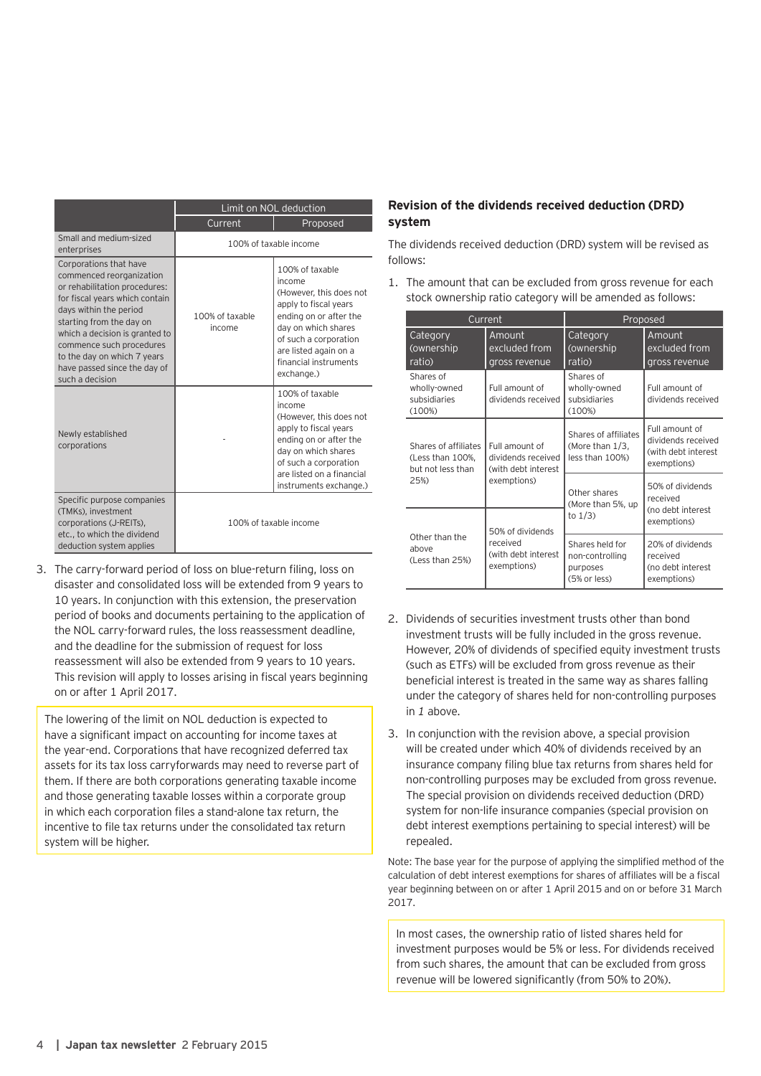|                                                                                                                                                                                                                                                                                                                             | Limit on NOL deduction    |                                                                                                                                                                                                                         |
|-----------------------------------------------------------------------------------------------------------------------------------------------------------------------------------------------------------------------------------------------------------------------------------------------------------------------------|---------------------------|-------------------------------------------------------------------------------------------------------------------------------------------------------------------------------------------------------------------------|
|                                                                                                                                                                                                                                                                                                                             | Current                   | Proposed                                                                                                                                                                                                                |
| Small and medium-sized<br>enterprises                                                                                                                                                                                                                                                                                       |                           | 100% of taxable income                                                                                                                                                                                                  |
| Corporations that have<br>commenced reorganization<br>or rehabilitation procedures:<br>for fiscal years which contain<br>days within the period<br>starting from the day on<br>which a decision is granted to<br>commence such procedures<br>to the day on which 7 years<br>have passed since the day of<br>such a decision | 100% of taxable<br>income | 100% of taxable<br>income<br>(However, this does not<br>apply to fiscal years<br>ending on or after the<br>day on which shares<br>of such a corporation<br>are listed again on a<br>financial instruments<br>exchange.) |
| Newly established<br>corporations                                                                                                                                                                                                                                                                                           |                           | 100% of taxable<br>income<br>(However, this does not<br>apply to fiscal years<br>ending on or after the<br>day on which shares<br>of such a corporation<br>are listed on a financial<br>instruments exchange.)          |
| Specific purpose companies<br>(TMKs), investment<br>corporations (J-REITs),<br>etc., to which the dividend<br>deduction system applies                                                                                                                                                                                      |                           | 100% of taxable income                                                                                                                                                                                                  |

3. The carry-forward period of loss on blue-return filing, loss on disaster and consolidated loss will be extended from 9 years to 10 years. In conjunction with this extension, the preservation period of books and documents pertaining to the application of the NOL carry-forward rules, the loss reassessment deadline, and the deadline for the submission of request for loss reassessment will also be extended from 9 years to 10 years. This revision will apply to losses arising in fiscal years beginning on or after 1 April 2017.

The lowering of the limit on NOL deduction is expected to have a significant impact on accounting for income taxes at the year-end. Corporations that have recognized deferred tax assets for its tax loss carryforwards may need to reverse part of them. If there are both corporations generating taxable income and those generating taxable losses within a corporate group in which each corporation files a stand-alone tax return, the incentive to file tax returns under the consolidated tax return system will be higher.

#### **Revision of the dividends received deduction (DRD) system**

The dividends received deduction (DRD) system will be revised as follows:

1. The amount that can be excluded from gross revenue for each stock ownership ratio category will be amended as follows:

| Current                                                                                      |                                                             | Proposed                                                       |                                                                            |
|----------------------------------------------------------------------------------------------|-------------------------------------------------------------|----------------------------------------------------------------|----------------------------------------------------------------------------|
| Category<br>(ownership)<br>ratio)                                                            | Amount<br>excluded from<br>gross revenue                    | Category<br>(ownership)<br>ratio)                              | Amount<br>excluded from<br>gross revenue                                   |
| Shares of<br>wholly-owned<br>subsidiaries<br>(100%)                                          | Full amount of<br>dividends received                        | Shares of<br>wholly-owned<br>subsidiaries<br>(100%)            | Full amount of<br>dividends received                                       |
| Shares of affiliates<br>(Less than 100%,<br>but not less than                                | Full amount of<br>dividends received<br>(with debt interest | Shares of affiliates<br>(More than $1/3$ ,<br>less than 100%)  | Full amount of<br>dividends received<br>(with debt interest<br>exemptions) |
| 25%)                                                                                         | exemptions)                                                 | Other shares<br>(More than 5%, up<br>to $1/3$ )                | 50% of dividends<br>received<br>(no debt interest                          |
|                                                                                              | 50% of dividends                                            |                                                                | exemptions)                                                                |
| Other than the<br>received<br>above<br>(with debt interest<br>(Less than 25%)<br>exemptions) |                                                             | Shares held for<br>non-controlling<br>purposes<br>(5% or less) | 20% of dividends<br>received<br>(no debt interest<br>exemptions)           |

- 2. Dividends of securities investment trusts other than bond investment trusts will be fully included in the gross revenue. However, 20% of dividends of specified equity investment trusts (such as ETFs) will be excluded from gross revenue as their beneficial interest is treated in the same way as shares falling under the category of shares held for non-controlling purposes in *1* above.
- 3. In conjunction with the revision above, a special provision will be created under which 40% of dividends received by an insurance company filing blue tax returns from shares held for non-controlling purposes may be excluded from gross revenue. The special provision on dividends received deduction (DRD) system for non-life insurance companies (special provision on debt interest exemptions pertaining to special interest) will be repealed.

Note: The base year for the purpose of applying the simplified method of the calculation of debt interest exemptions for shares of affiliates will be a fiscal year beginning between on or after 1 April 2015 and on or before 31 March 2017.

In most cases, the ownership ratio of listed shares held for investment purposes would be 5% or less. For dividends received from such shares, the amount that can be excluded from gross revenue will be lowered significantly (from 50% to 20%).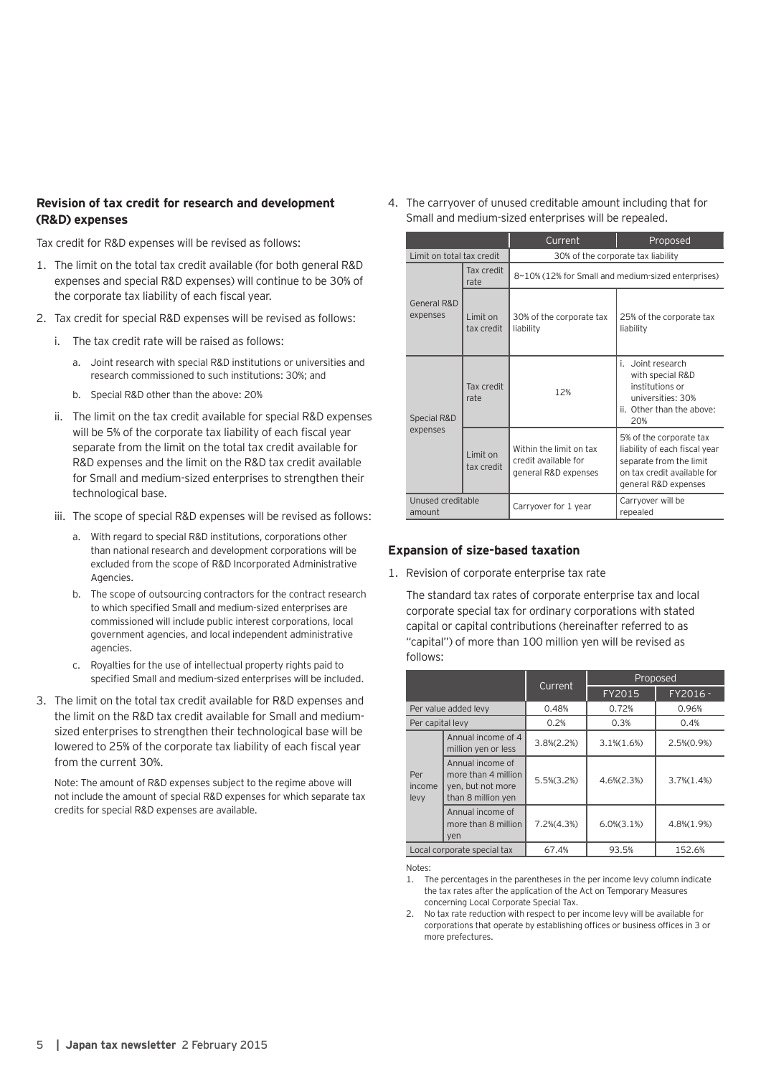#### **Revision of tax credit for research and development (R&D) expenses**

Tax credit for R&D expenses will be revised as follows:

- 1. The limit on the total tax credit available (for both general R&D expenses and special R&D expenses) will continue to be 30% of the corporate tax liability of each fiscal year.
- 2. Tax credit for special R&D expenses will be revised as follows:
	- i. The tax credit rate will be raised as follows:
		- a. Joint research with special R&D institutions or universities and research commissioned to such institutions: 30%; and
		- b. Special R&D other than the above: 20%
	- ii. The limit on the tax credit available for special R&D expenses will be 5% of the corporate tax liability of each fiscal year separate from the limit on the total tax credit available for R&D expenses and the limit on the R&D tax credit available for Small and medium-sized enterprises to strengthen their technological base.
	- iii. The scope of special R&D expenses will be revised as follows:
		- a. With regard to special R&D institutions, corporations other than national research and development corporations will be excluded from the scope of R&D Incorporated Administrative Agencies.
		- b. The scope of outsourcing contractors for the contract research to which specified Small and medium-sized enterprises are commissioned will include public interest corporations, local government agencies, and local independent administrative agencies.
		- c. Royalties for the use of intellectual property rights paid to specified Small and medium-sized enterprises will be included.
- 3. The limit on the total tax credit available for R&D expenses and the limit on the R&D tax credit available for Small and mediumsized enterprises to strengthen their technological base will be lowered to 25% of the corporate tax liability of each fiscal year from the current 30%.

Note: The amount of R&D expenses subject to the regime above will not include the amount of special R&D expenses for which separate tax credits for special R&D expenses are available.

4. The carryover of unused creditable amount including that for Small and medium-sized enterprises will be repealed.

|                             |                         | Current                                                                 | Proposed                                                                                                                                   |
|-----------------------------|-------------------------|-------------------------------------------------------------------------|--------------------------------------------------------------------------------------------------------------------------------------------|
| Limit on total tax credit   |                         | 30% of the corporate tax liability                                      |                                                                                                                                            |
|                             | Tax credit<br>rate      | 8~10% (12% for Small and medium-sized enterprises)                      |                                                                                                                                            |
| General R&D<br>expenses     | I imit on<br>tax credit | 30% of the corporate tax<br>liability                                   | 25% of the corporate tax<br>liability                                                                                                      |
| Special R&D<br>expenses     | Tax credit<br>rate      | 12%                                                                     | i Joint research<br>with special R&D<br>institutions or<br>universities: 30%<br>ii. Other than the above:<br>20%                           |
|                             | Limit on<br>tax credit  | Within the limit on tax<br>credit available for<br>general R&D expenses | 5% of the corporate tax<br>liability of each fiscal year<br>separate from the limit<br>on tax credit available for<br>general R&D expenses |
| Unused creditable<br>amount |                         | Carryover for 1 year                                                    | Carryover will be<br>repealed                                                                                                              |

#### **Expansion of size-based taxation**

1. Revision of corporate enterprise tax rate

The standard tax rates of corporate enterprise tax and local corporate special tax for ordinary corporations with stated capital or capital contributions (hereinafter referred to as "capital") of more than 100 million yen will be revised as follows:

|                             |                                                                                    |                 |                   | Proposed          |
|-----------------------------|------------------------------------------------------------------------------------|-----------------|-------------------|-------------------|
|                             |                                                                                    | Current         | FY2015            | FY2016 -          |
|                             | Per value added levy                                                               | 0.48%           | 0.72%             | 0.96%             |
| Per capital levy            |                                                                                    | 0.2%            | 0.3%              | 0.4%              |
|                             | Annual income of 4<br>million yen or less                                          | $3.8\% (2.2\%)$ | $3.1\,(1.6\%)$    | $2.5\%(0.9\%)$    |
| Per<br>income<br>levy       | Annual income of<br>more than 4 million<br>yen, but not more<br>than 8 million yen | $5.5\%(3.2\%)$  | $4.6\% (2.3\%)$   | $3.7\%$ $(1.4\%)$ |
|                             | Annual income of<br>more than 8 million<br>yen                                     | $7.2\%(4.3\%)$  | $6.0\%$ $(3.1\%)$ | 4.8%(1.9%)        |
| Local corporate special tax |                                                                                    | 67.4%           | 93.5%             | 152.6%            |

Notes:

- 1. The percentages in the parentheses in the per income levy column indicate the tax rates after the application of the Act on Temporary Measures concerning Local Corporate Special Tax.
- 2. No tax rate reduction with respect to per income levy will be available for corporations that operate by establishing offices or business offices in 3 or more prefectures.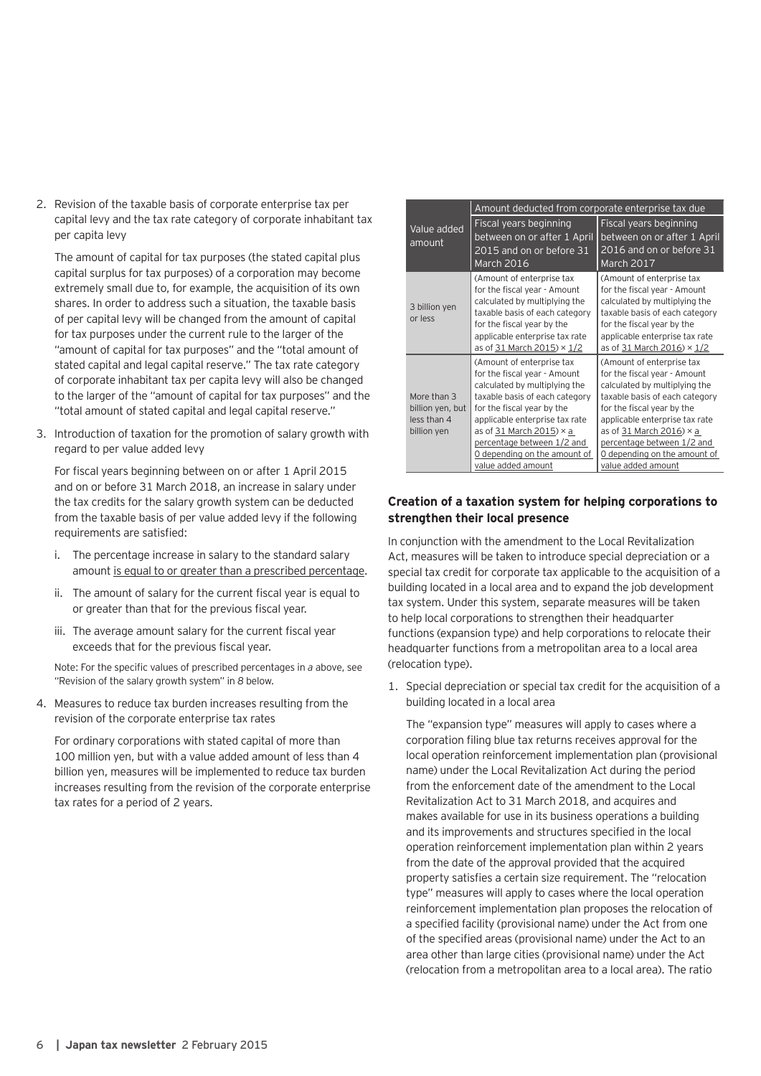2. Revision of the taxable basis of corporate enterprise tax per capital levy and the tax rate category of corporate inhabitant tax per capita levy

The amount of capital for tax purposes (the stated capital plus capital surplus for tax purposes) of a corporation may become extremely small due to, for example, the acquisition of its own shares. In order to address such a situation, the taxable basis of per capital levy will be changed from the amount of capital for tax purposes under the current rule to the larger of the "amount of capital for tax purposes" and the "total amount of stated capital and legal capital reserve." The tax rate category of corporate inhabitant tax per capita levy will also be changed to the larger of the "amount of capital for tax purposes" and the "total amount of stated capital and legal capital reserve."

3. Introduction of taxation for the promotion of salary growth with regard to per value added levy

For fiscal years beginning between on or after 1 April 2015 and on or before 31 March 2018, an increase in salary under the tax credits for the salary growth system can be deducted from the taxable basis of per value added levy if the following requirements are satisfied:

- i. The percentage increase in salary to the standard salary amount is equal to or greater than a prescribed percentage.
- ii. The amount of salary for the current fiscal year is equal to or greater than that for the previous fiscal year.
- iii. The average amount salary for the current fiscal year exceeds that for the previous fiscal year.

Note: For the specific values of prescribed percentages in *a* above, see "Revision of the salary growth system" in *8* below.

4. Measures to reduce tax burden increases resulting from the revision of the corporate enterprise tax rates

For ordinary corporations with stated capital of more than 100 million yen, but with a value added amount of less than 4 billion yen, measures will be implemented to reduce tax burden increases resulting from the revision of the corporate enterprise tax rates for a period of 2 years.

|                                                               | Amount deducted from corporate enterprise tax due                                                                                                                                                                                                                                                                   |                                                                                                                                                                                                                                                                                                                     |
|---------------------------------------------------------------|---------------------------------------------------------------------------------------------------------------------------------------------------------------------------------------------------------------------------------------------------------------------------------------------------------------------|---------------------------------------------------------------------------------------------------------------------------------------------------------------------------------------------------------------------------------------------------------------------------------------------------------------------|
| Value added<br>amount                                         | Fiscal years beginning<br>between on or after 1 April<br>2015 and on or before 31<br>March 2016                                                                                                                                                                                                                     | Fiscal years beginning<br>between on or after 1 April<br>2016 and on or before 31<br>March 2017                                                                                                                                                                                                                     |
| 3 billion yen<br>or less                                      | (Amount of enterprise tax<br>for the fiscal year - Amount<br>calculated by multiplying the<br>taxable basis of each category<br>for the fiscal year by the<br>applicable enterprise tax rate<br>as of 31 March 2015) $\times$ 1/2                                                                                   | (Amount of enterprise tax<br>for the fiscal year - Amount<br>calculated by multiplying the<br>taxable basis of each category<br>for the fiscal year by the<br>applicable enterprise tax rate<br>as of 31 March 2016) $\times$ 1/2                                                                                   |
| More than 3<br>billion yen, but<br>less than 4<br>billion yen | (Amount of enterprise tax<br>for the fiscal year - Amount<br>calculated by multiplying the<br>taxable basis of each category<br>for the fiscal year by the<br>applicable enterprise tax rate<br>as of 31 March 2015) $\times$ a<br>percentage between 1/2 and<br>O depending on the amount of<br>value added amount | (Amount of enterprise tax<br>for the fiscal year - Amount<br>calculated by multiplying the<br>taxable basis of each category<br>for the fiscal year by the<br>applicable enterprise tax rate<br>as of 31 March 2016) $\times$ a<br>percentage between 1/2 and<br>O depending on the amount of<br>value added amount |

## **Creation of a taxation system for helping corporations to strengthen their local presence**

In conjunction with the amendment to the Local Revitalization Act, measures will be taken to introduce special depreciation or a special tax credit for corporate tax applicable to the acquisition of a building located in a local area and to expand the job development tax system. Under this system, separate measures will be taken to help local corporations to strengthen their headquarter functions (expansion type) and help corporations to relocate their headquarter functions from a metropolitan area to a local area (relocation type).

1. Special depreciation or special tax credit for the acquisition of a building located in a local area

The "expansion type" measures will apply to cases where a corporation filing blue tax returns receives approval for the local operation reinforcement implementation plan (provisional name) under the Local Revitalization Act during the period from the enforcement date of the amendment to the Local Revitalization Act to 31 March 2018, and acquires and makes available for use in its business operations a building and its improvements and structures specified in the local operation reinforcement implementation plan within 2 years from the date of the approval provided that the acquired property satisfies a certain size requirement. The "relocation type" measures will apply to cases where the local operation reinforcement implementation plan proposes the relocation of a specified facility (provisional name) under the Act from one of the specified areas (provisional name) under the Act to an area other than large cities (provisional name) under the Act (relocation from a metropolitan area to a local area). The ratio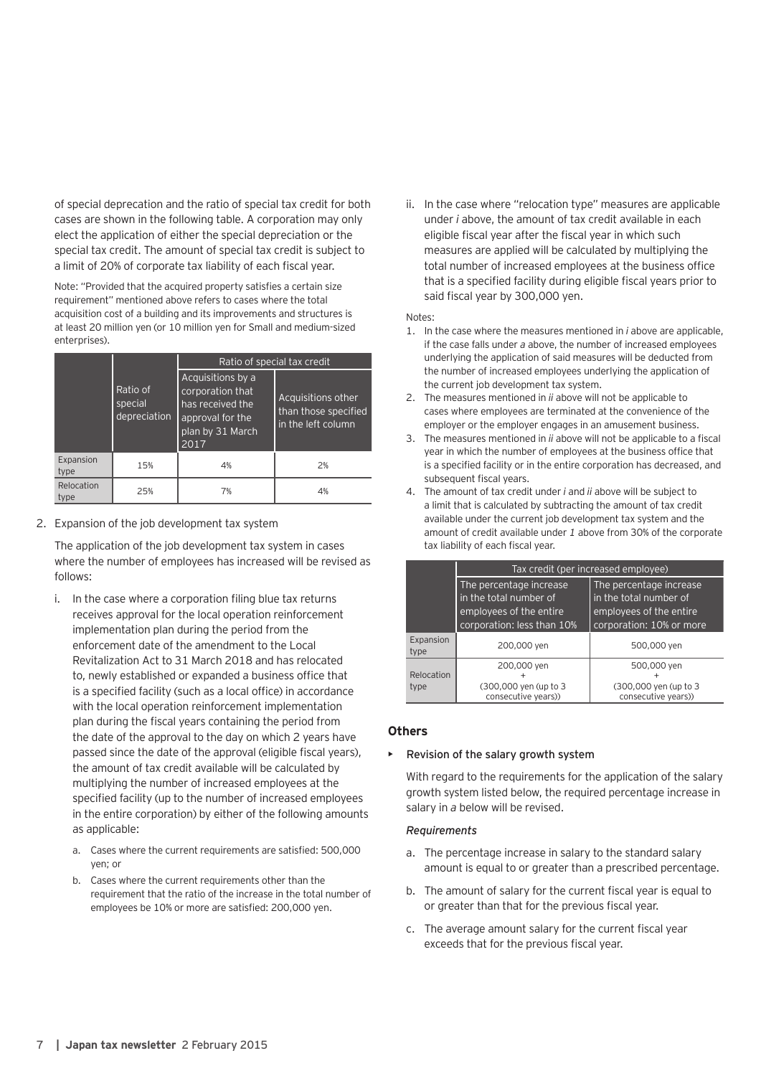of special deprecation and the ratio of special tax credit for both cases are shown in the following table. A corporation may only elect the application of either the special depreciation or the special tax credit. The amount of special tax credit is subject to a limit of 20% of corporate tax liability of each fiscal year.

Note: "Provided that the acquired property satisfies a certain size requirement" mentioned above refers to cases where the total acquisition cost of a building and its improvements and structures is at least 20 million yen (or 10 million yen for Small and medium-sized enterprises).

|                    |                                     | Ratio of special tax credit                                                                               |                                                                  |
|--------------------|-------------------------------------|-----------------------------------------------------------------------------------------------------------|------------------------------------------------------------------|
|                    | Ratio of<br>special<br>depreciation | Acquisitions by a<br>corporation that<br>has received the<br>approval for the<br>plan by 31 March<br>2017 | Acquisitions other<br>than those specified<br>in the left column |
| Expansion<br>type  | 15%                                 | 4%                                                                                                        | 2%                                                               |
| Relocation<br>type | 25%                                 | 7%                                                                                                        | 4%                                                               |

2. Expansion of the job development tax system

The application of the job development tax system in cases where the number of employees has increased will be revised as follows:

- i. In the case where a corporation filing blue tax returns receives approval for the local operation reinforcement implementation plan during the period from the enforcement date of the amendment to the Local Revitalization Act to 31 March 2018 and has relocated to, newly established or expanded a business office that is a specified facility (such as a local office) in accordance with the local operation reinforcement implementation plan during the fiscal years containing the period from the date of the approval to the day on which 2 years have passed since the date of the approval (eligible fiscal years), the amount of tax credit available will be calculated by multiplying the number of increased employees at the specified facility (up to the number of increased employees in the entire corporation) by either of the following amounts as applicable:
	- a. Cases where the current requirements are satisfied: 500,000 yen; or
	- b. Cases where the current requirements other than the requirement that the ratio of the increase in the total number of employees be 10% or more are satisfied: 200,000 yen.

ii. In the case where "relocation type" measures are applicable under *i* above, the amount of tax credit available in each eligible fiscal year after the fiscal year in which such measures are applied will be calculated by multiplying the total number of increased employees at the business office that is a specified facility during eligible fiscal years prior to said fiscal year by 300,000 yen.

Notes:

- 1. In the case where the measures mentioned in *i* above are applicable, if the case falls under *a* above, the number of increased employees underlying the application of said measures will be deducted from the number of increased employees underlying the application of the current job development tax system.
- 2. The measures mentioned in *ii* above will not be applicable to cases where employees are terminated at the convenience of the employer or the employer engages in an amusement business.
- 3. The measures mentioned in *ii* above will not be applicable to a fiscal year in which the number of employees at the business office that is a specified facility or in the entire corporation has decreased, and subsequent fiscal years.
- 4. The amount of tax credit under *i* and *ii* above will be subject to a limit that is calculated by subtracting the amount of tax credit available under the current job development tax system and the amount of credit available under *1* above from 30% of the corporate tax liability of each fiscal year.

|                    |                                               | Tax credit (per increased employee)           |
|--------------------|-----------------------------------------------|-----------------------------------------------|
|                    | The percentage increase                       | The percentage increase                       |
|                    | in the total number of                        | in the total number of                        |
|                    | employees of the entire                       | employees of the entire                       |
|                    | corporation: less than 10%                    | corporation: 10% or more                      |
| Expansion<br>type  | 200,000 yen                                   | 500,000 yen                                   |
|                    | 200,000 yen                                   | 500,000 yen                                   |
| Relocation<br>type | (300,000 yen (up to 3)<br>consecutive years)) | (300,000 yen (up to 3)<br>consecutive years)) |

#### **Others**

#### • Revision of the salary growth system

With regard to the requirements for the application of the salary growth system listed below, the required percentage increase in salary in *a* below will be revised.

#### *Requirements*

- a. The percentage increase in salary to the standard salary amount is equal to or greater than a prescribed percentage.
- b. The amount of salary for the current fiscal year is equal to or greater than that for the previous fiscal year.
- c. The average amount salary for the current fiscal year exceeds that for the previous fiscal year.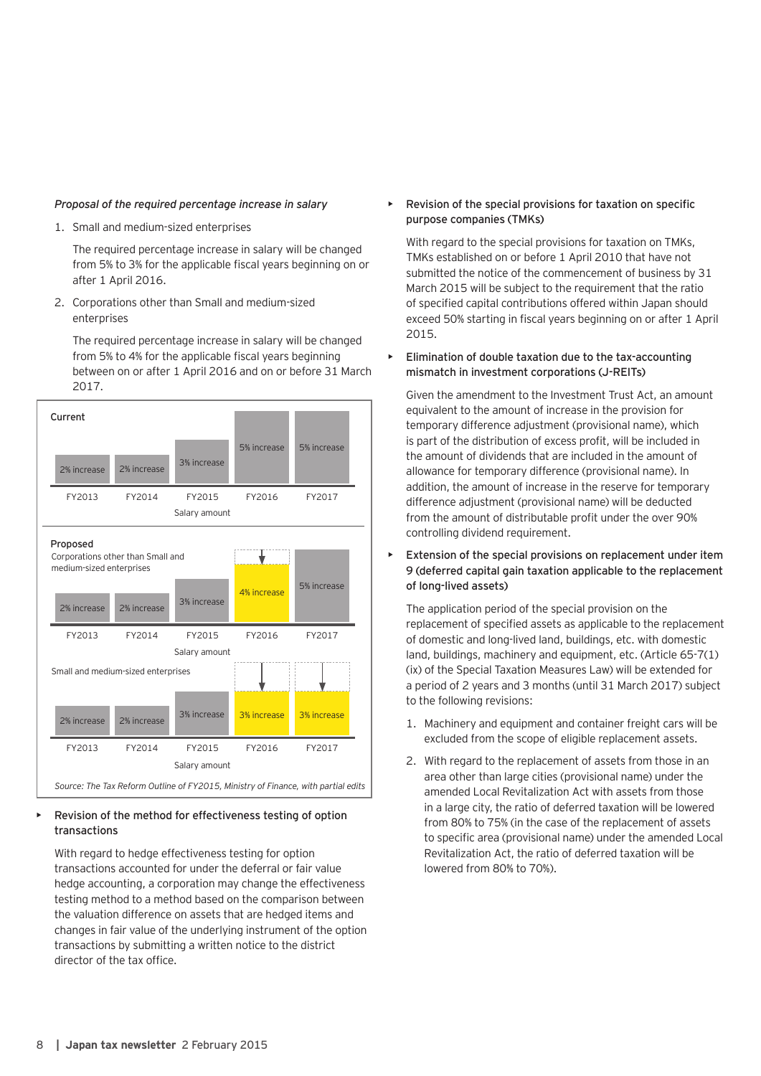#### *Proposal of the required percentage increase in salary*

1. Small and medium-sized enterprises

The required percentage increase in salary will be changed from 5% to 3% for the applicable fiscal years beginning on or after 1 April 2016.

2. Corporations other than Small and medium-sized enterprises

The required percentage increase in salary will be changed from 5% to 4% for the applicable fiscal years beginning between on or after 1 April 2016 and on or before 31 March 2017.



#### Revision of the method for effectiveness testing of option transactions

With regard to hedge effectiveness testing for option transactions accounted for under the deferral or fair value hedge accounting, a corporation may change the effectiveness testing method to a method based on the comparison between the valuation difference on assets that are hedged items and changes in fair value of the underlying instrument of the option transactions by submitting a written notice to the district director of the tax office.

• Revision of the special provisions for taxation on specific purpose companies (TMKs)

With regard to the special provisions for taxation on TMKs, TMKs established on or before 1 April 2010 that have not submitted the notice of the commencement of business by 31 March 2015 will be subject to the requirement that the ratio of specified capital contributions offered within Japan should exceed 50% starting in fiscal years beginning on or after 1 April 2015.

• Elimination of double taxation due to the tax-accounting mismatch in investment corporations (J-REITs)

Given the amendment to the Investment Trust Act, an amount equivalent to the amount of increase in the provision for temporary difference adjustment (provisional name), which is part of the distribution of excess profit, will be included in the amount of dividends that are included in the amount of allowance for temporary difference (provisional name). In addition, the amount of increase in the reserve for temporary difference adjustment (provisional name) will be deducted from the amount of distributable profit under the over 90% controlling dividend requirement.

Extension of the special provisions on replacement under item 9 (deferred capital gain taxation applicable to the replacement of long-lived assets)

The application period of the special provision on the replacement of specified assets as applicable to the replacement of domestic and long-lived land, buildings, etc. with domestic land, buildings, machinery and equipment, etc. (Article 65-7(1) (ix) of the Special Taxation Measures Law) will be extended for a period of 2 years and 3 months (until 31 March 2017) subject to the following revisions:

- 1. Machinery and equipment and container freight cars will be excluded from the scope of eligible replacement assets.
- 2. With regard to the replacement of assets from those in an area other than large cities (provisional name) under the amended Local Revitalization Act with assets from those in a large city, the ratio of deferred taxation will be lowered from 80% to 75% (in the case of the replacement of assets to specific area (provisional name) under the amended Local Revitalization Act, the ratio of deferred taxation will be lowered from 80% to 70%).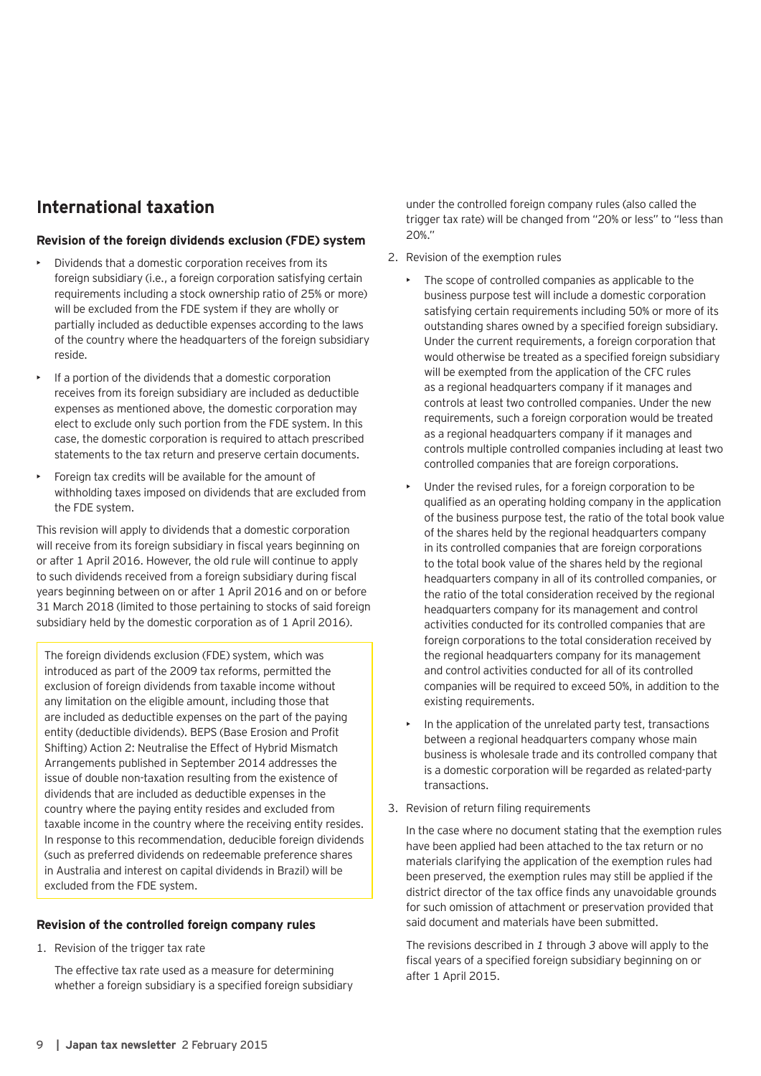# **International taxation**

#### **Revision of the foreign dividends exclusion (FDE) system**

- Dividends that a domestic corporation receives from its foreign subsidiary (i.e., a foreign corporation satisfying certain requirements including a stock ownership ratio of 25% or more) will be excluded from the FDE system if they are wholly or partially included as deductible expenses according to the laws of the country where the headquarters of the foreign subsidiary reside.
- If a portion of the dividends that a domestic corporation receives from its foreign subsidiary are included as deductible expenses as mentioned above, the domestic corporation may elect to exclude only such portion from the FDE system. In this case, the domestic corporation is required to attach prescribed statements to the tax return and preserve certain documents.
- Foreign tax credits will be available for the amount of withholding taxes imposed on dividends that are excluded from the FDE system.

This revision will apply to dividends that a domestic corporation will receive from its foreign subsidiary in fiscal years beginning on or after 1 April 2016. However, the old rule will continue to apply to such dividends received from a foreign subsidiary during fiscal years beginning between on or after 1 April 2016 and on or before 31 March 2018 (limited to those pertaining to stocks of said foreign subsidiary held by the domestic corporation as of 1 April 2016).

The foreign dividends exclusion (FDE) system, which was introduced as part of the 2009 tax reforms, permitted the exclusion of foreign dividends from taxable income without any limitation on the eligible amount, including those that are included as deductible expenses on the part of the paying entity (deductible dividends). BEPS (Base Erosion and Profit Shifting) Action 2: Neutralise the Effect of Hybrid Mismatch Arrangements published in September 2014 addresses the issue of double non-taxation resulting from the existence of dividends that are included as deductible expenses in the country where the paying entity resides and excluded from taxable income in the country where the receiving entity resides. In response to this recommendation, deducible foreign dividends (such as preferred dividends on redeemable preference shares in Australia and interest on capital dividends in Brazil) will be excluded from the FDE system.

#### **Revision of the controlled foreign company rules**

1. Revision of the trigger tax rate

The effective tax rate used as a measure for determining whether a foreign subsidiary is a specified foreign subsidiary under the controlled foreign company rules (also called the trigger tax rate) will be changed from "20% or less" to "less than 20%."

- 2. Revision of the exemption rules
	- The scope of controlled companies as applicable to the business purpose test will include a domestic corporation satisfying certain requirements including 50% or more of its outstanding shares owned by a specified foreign subsidiary. Under the current requirements, a foreign corporation that would otherwise be treated as a specified foreign subsidiary will be exempted from the application of the CFC rules as a regional headquarters company if it manages and controls at least two controlled companies. Under the new requirements, such a foreign corporation would be treated as a regional headquarters company if it manages and controls multiple controlled companies including at least two controlled companies that are foreign corporations.
	- Under the revised rules, for a foreign corporation to be qualified as an operating holding company in the application of the business purpose test, the ratio of the total book value of the shares held by the regional headquarters company in its controlled companies that are foreign corporations to the total book value of the shares held by the regional headquarters company in all of its controlled companies, or the ratio of the total consideration received by the regional headquarters company for its management and control activities conducted for its controlled companies that are foreign corporations to the total consideration received by the regional headquarters company for its management and control activities conducted for all of its controlled companies will be required to exceed 50%, in addition to the existing requirements.
	- In the application of the unrelated party test, transactions between a regional headquarters company whose main business is wholesale trade and its controlled company that is a domestic corporation will be regarded as related-party transactions.
- 3. Revision of return filing requirements

In the case where no document stating that the exemption rules have been applied had been attached to the tax return or no materials clarifying the application of the exemption rules had been preserved, the exemption rules may still be applied if the district director of the tax office finds any unavoidable grounds for such omission of attachment or preservation provided that said document and materials have been submitted.

The revisions described in *1* through *3* above will apply to the fiscal years of a specified foreign subsidiary beginning on or after 1 April 2015.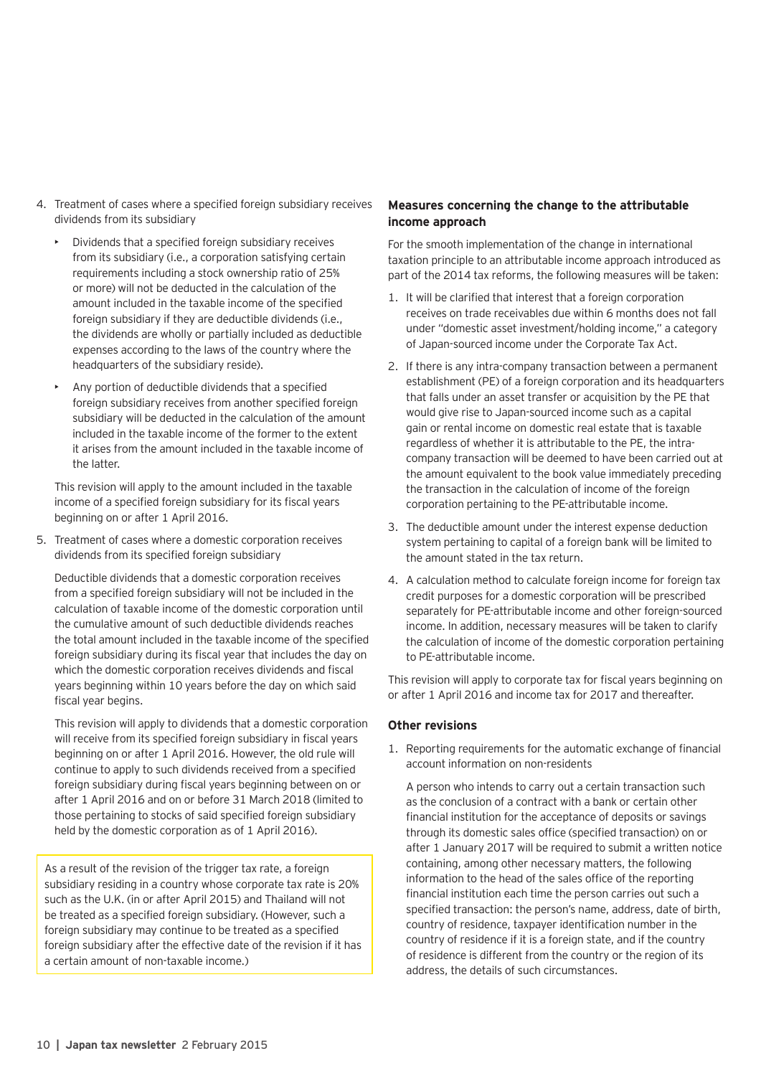- 4. Treatment of cases where a specified foreign subsidiary receives dividends from its subsidiary
	- Dividends that a specified foreign subsidiary receives from its subsidiary (i.e., a corporation satisfying certain requirements including a stock ownership ratio of 25% or more) will not be deducted in the calculation of the amount included in the taxable income of the specified foreign subsidiary if they are deductible dividends (i.e., the dividends are wholly or partially included as deductible expenses according to the laws of the country where the headquarters of the subsidiary reside).
	- Any portion of deductible dividends that a specified foreign subsidiary receives from another specified foreign subsidiary will be deducted in the calculation of the amount included in the taxable income of the former to the extent it arises from the amount included in the taxable income of the latter.

This revision will apply to the amount included in the taxable income of a specified foreign subsidiary for its fiscal years beginning on or after 1 April 2016.

5. Treatment of cases where a domestic corporation receives dividends from its specified foreign subsidiary

Deductible dividends that a domestic corporation receives from a specified foreign subsidiary will not be included in the calculation of taxable income of the domestic corporation until the cumulative amount of such deductible dividends reaches the total amount included in the taxable income of the specified foreign subsidiary during its fiscal year that includes the day on which the domestic corporation receives dividends and fiscal years beginning within 10 years before the day on which said fiscal year begins.

This revision will apply to dividends that a domestic corporation will receive from its specified foreign subsidiary in fiscal years beginning on or after 1 April 2016. However, the old rule will continue to apply to such dividends received from a specified foreign subsidiary during fiscal years beginning between on or after 1 April 2016 and on or before 31 March 2018 (limited to those pertaining to stocks of said specified foreign subsidiary held by the domestic corporation as of 1 April 2016).

As a result of the revision of the trigger tax rate, a foreign subsidiary residing in a country whose corporate tax rate is 20% such as the U.K. (in or after April 2015) and Thailand will not be treated as a specified foreign subsidiary. (However, such a foreign subsidiary may continue to be treated as a specified foreign subsidiary after the effective date of the revision if it has a certain amount of non-taxable income.)

### **Measures concerning the change to the attributable income approach**

For the smooth implementation of the change in international taxation principle to an attributable income approach introduced as part of the 2014 tax reforms, the following measures will be taken:

- 1. It will be clarified that interest that a foreign corporation receives on trade receivables due within 6 months does not fall under "domestic asset investment/holding income," a category of Japan-sourced income under the Corporate Tax Act.
- 2. If there is any intra-company transaction between a permanent establishment (PE) of a foreign corporation and its headquarters that falls under an asset transfer or acquisition by the PE that would give rise to Japan-sourced income such as a capital gain or rental income on domestic real estate that is taxable regardless of whether it is attributable to the PE, the intracompany transaction will be deemed to have been carried out at the amount equivalent to the book value immediately preceding the transaction in the calculation of income of the foreign corporation pertaining to the PE-attributable income.
- 3. The deductible amount under the interest expense deduction system pertaining to capital of a foreign bank will be limited to the amount stated in the tax return.
- 4. A calculation method to calculate foreign income for foreign tax credit purposes for a domestic corporation will be prescribed separately for PE-attributable income and other foreign-sourced income. In addition, necessary measures will be taken to clarify the calculation of income of the domestic corporation pertaining to PE-attributable income.

This revision will apply to corporate tax for fiscal years beginning on or after 1 April 2016 and income tax for 2017 and thereafter.

#### **Other revisions**

1. Reporting requirements for the automatic exchange of financial account information on non-residents

A person who intends to carry out a certain transaction such as the conclusion of a contract with a bank or certain other financial institution for the acceptance of deposits or savings through its domestic sales office (specified transaction) on or after 1 January 2017 will be required to submit a written notice containing, among other necessary matters, the following information to the head of the sales office of the reporting financial institution each time the person carries out such a specified transaction: the person's name, address, date of birth, country of residence, taxpayer identification number in the country of residence if it is a foreign state, and if the country of residence is different from the country or the region of its address, the details of such circumstances.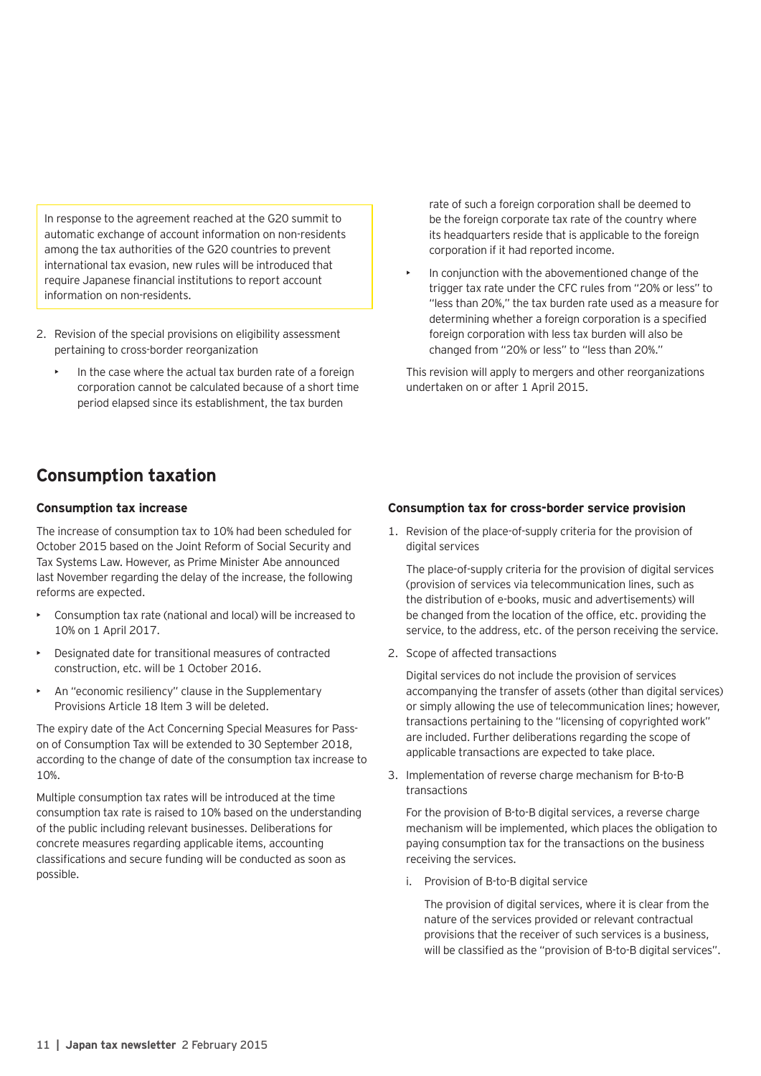In response to the agreement reached at the G20 summit to automatic exchange of account information on non-residents among the tax authorities of the G20 countries to prevent international tax evasion, new rules will be introduced that require Japanese financial institutions to report account information on non-residents.

- 2. Revision of the special provisions on eligibility assessment pertaining to cross-border reorganization
	- In the case where the actual tax burden rate of a foreign corporation cannot be calculated because of a short time period elapsed since its establishment, the tax burden

**Consumption taxation**

#### **Consumption tax increase**

The increase of consumption tax to 10% had been scheduled for October 2015 based on the Joint Reform of Social Security and Tax Systems Law. However, as Prime Minister Abe announced last November regarding the delay of the increase, the following reforms are expected.

- Consumption tax rate (national and local) will be increased to 10% on 1 April 2017.
- Designated date for transitional measures of contracted construction, etc. will be 1 October 2016.
- An "economic resiliency" clause in the Supplementary Provisions Article 18 Item 3 will be deleted.

The expiry date of the Act Concerning Special Measures for Passon of Consumption Tax will be extended to 30 September 2018, according to the change of date of the consumption tax increase to 10%.

Multiple consumption tax rates will be introduced at the time consumption tax rate is raised to 10% based on the understanding of the public including relevant businesses. Deliberations for concrete measures regarding applicable items, accounting classifications and secure funding will be conducted as soon as possible.

rate of such a foreign corporation shall be deemed to be the foreign corporate tax rate of the country where its headquarters reside that is applicable to the foreign corporation if it had reported income.

In conjunction with the abovementioned change of the trigger tax rate under the CFC rules from "20% or less" to "less than 20%," the tax burden rate used as a measure for determining whether a foreign corporation is a specified foreign corporation with less tax burden will also be changed from "20% or less" to "less than 20%."

This revision will apply to mergers and other reorganizations undertaken on or after 1 April 2015.

#### **Consumption tax for cross-border service provision**

1. Revision of the place-of-supply criteria for the provision of digital services

The place-of-supply criteria for the provision of digital services (provision of services via telecommunication lines, such as the distribution of e-books, music and advertisements) will be changed from the location of the office, etc. providing the service, to the address, etc. of the person receiving the service.

2. Scope of affected transactions

Digital services do not include the provision of services accompanying the transfer of assets (other than digital services) or simply allowing the use of telecommunication lines; however, transactions pertaining to the "licensing of copyrighted work" are included. Further deliberations regarding the scope of applicable transactions are expected to take place.

3. Implementation of reverse charge mechanism for B-to-B transactions

For the provision of B-to-B digital services, a reverse charge mechanism will be implemented, which places the obligation to paying consumption tax for the transactions on the business receiving the services.

i. Provision of B-to-B digital service

The provision of digital services, where it is clear from the nature of the services provided or relevant contractual provisions that the receiver of such services is a business, will be classified as the "provision of B-to-B digital services".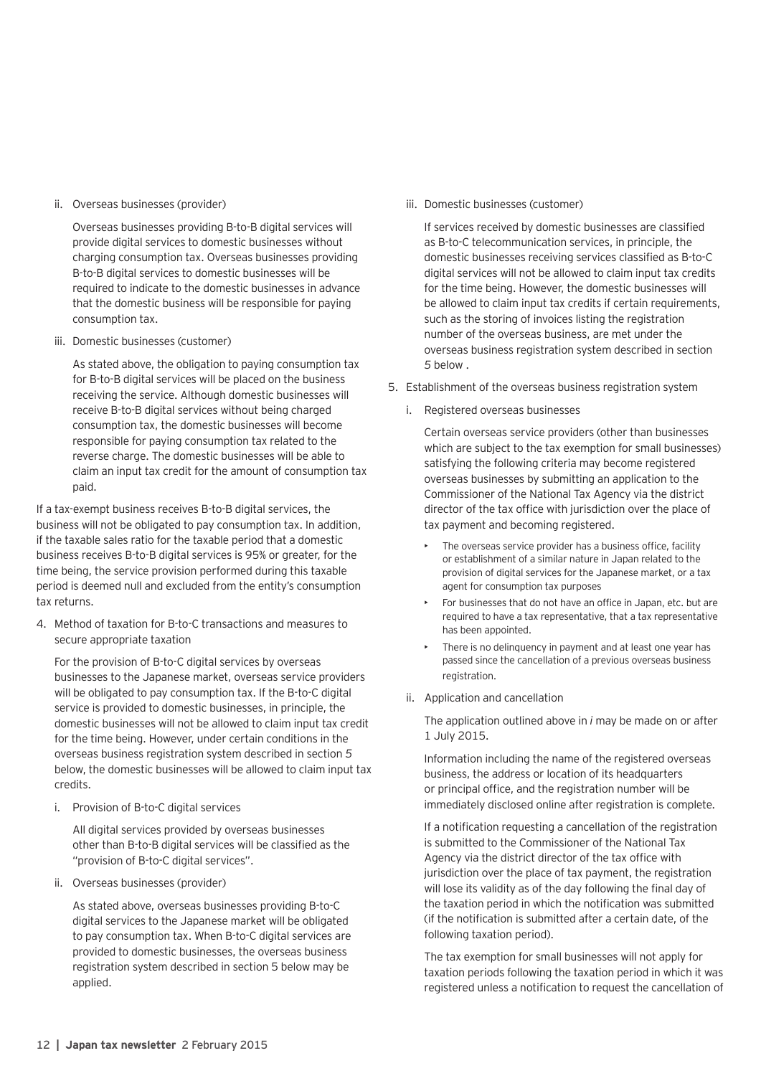ii. Overseas businesses (provider)

Overseas businesses providing B-to-B digital services will provide digital services to domestic businesses without charging consumption tax. Overseas businesses providing B-to-B digital services to domestic businesses will be required to indicate to the domestic businesses in advance that the domestic business will be responsible for paying consumption tax.

iii. Domestic businesses (customer)

As stated above, the obligation to paying consumption tax for B-to-B digital services will be placed on the business receiving the service. Although domestic businesses will receive B-to-B digital services without being charged consumption tax, the domestic businesses will become responsible for paying consumption tax related to the reverse charge. The domestic businesses will be able to claim an input tax credit for the amount of consumption tax paid.

If a tax-exempt business receives B-to-B digital services, the business will not be obligated to pay consumption tax. In addition, if the taxable sales ratio for the taxable period that a domestic business receives B-to-B digital services is 95% or greater, for the time being, the service provision performed during this taxable period is deemed null and excluded from the entity's consumption tax returns.

4. Method of taxation for B-to-C transactions and measures to secure appropriate taxation

For the provision of B-to-C digital services by overseas businesses to the Japanese market, overseas service providers will be obligated to pay consumption tax. If the B-to-C digital service is provided to domestic businesses, in principle, the domestic businesses will not be allowed to claim input tax credit for the time being. However, under certain conditions in the overseas business registration system described in section *5* below, the domestic businesses will be allowed to claim input tax credits.

i. Provision of B-to-C digital services

All digital services provided by overseas businesses other than B-to-B digital services will be classified as the "provision of B-to-C digital services".

ii. Overseas businesses (provider)

As stated above, overseas businesses providing B-to-C digital services to the Japanese market will be obligated to pay consumption tax. When B-to-C digital services are provided to domestic businesses, the overseas business registration system described in section 5 below may be applied.

iii. Domestic businesses (customer)

If services received by domestic businesses are classified as B-to-C telecommunication services, in principle, the domestic businesses receiving services classified as B-to-C digital services will not be allowed to claim input tax credits for the time being. However, the domestic businesses will be allowed to claim input tax credits if certain requirements, such as the storing of invoices listing the registration number of the overseas business, are met under the overseas business registration system described in section *5* below .

- 5. Establishment of the overseas business registration system
	- i. Registered overseas businesses

Certain overseas service providers (other than businesses which are subject to the tax exemption for small businesses) satisfying the following criteria may become registered overseas businesses by submitting an application to the Commissioner of the National Tax Agency via the district director of the tax office with jurisdiction over the place of tax payment and becoming registered.

- The overseas service provider has a business office, facility or establishment of a similar nature in Japan related to the provision of digital services for the Japanese market, or a tax agent for consumption tax purposes
- For businesses that do not have an office in Japan, etc. but are required to have a tax representative, that a tax representative has been appointed.
- There is no delinquency in payment and at least one year has passed since the cancellation of a previous overseas business registration.
- ii. Application and cancellation

The application outlined above in *i* may be made on or after 1 July 2015.

Information including the name of the registered overseas business, the address or location of its headquarters or principal office, and the registration number will be immediately disclosed online after registration is complete.

If a notification requesting a cancellation of the registration is submitted to the Commissioner of the National Tax Agency via the district director of the tax office with jurisdiction over the place of tax payment, the registration will lose its validity as of the day following the final day of the taxation period in which the notification was submitted (if the notification is submitted after a certain date, of the following taxation period).

The tax exemption for small businesses will not apply for taxation periods following the taxation period in which it was registered unless a notification to request the cancellation of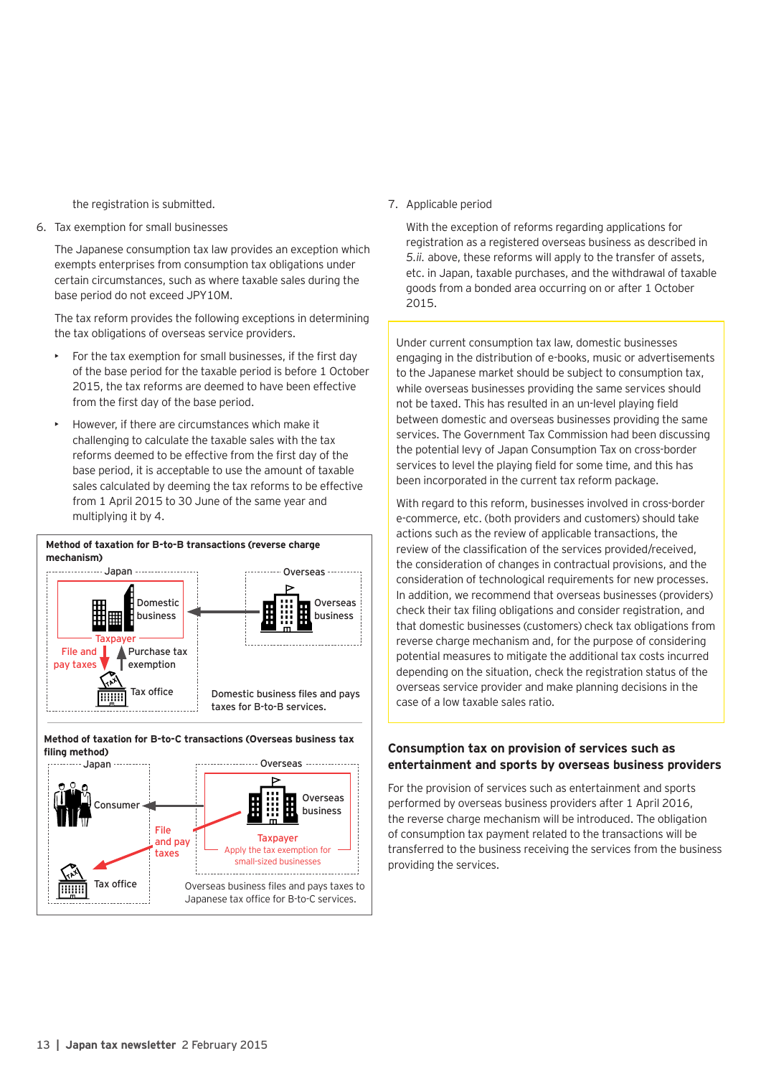the registration is submitted.

6. Tax exemption for small businesses

The Japanese consumption tax law provides an exception which exempts enterprises from consumption tax obligations under certain circumstances, such as where taxable sales during the base period do not exceed JPY10M.

The tax reform provides the following exceptions in determining the tax obligations of overseas service providers.

- For the tax exemption for small businesses, if the first day of the base period for the taxable period is before 1 October 2015, the tax reforms are deemed to have been effective from the first day of the base period.
- However, if there are circumstances which make it challenging to calculate the taxable sales with the tax reforms deemed to be effective from the first day of the base period, it is acceptable to use the amount of taxable sales calculated by deeming the tax reforms to be effective from 1 April 2015 to 30 June of the same year and multiplying it by 4.







7. Applicable period

With the exception of reforms regarding applications for registration as a registered overseas business as described in *5.ii.* above, these reforms will apply to the transfer of assets, etc. in Japan, taxable purchases, and the withdrawal of taxable goods from a bonded area occurring on or after 1 October 2015.

Under current consumption tax law, domestic businesses engaging in the distribution of e-books, music or advertisements to the Japanese market should be subject to consumption tax, while overseas businesses providing the same services should not be taxed. This has resulted in an un-level playing field between domestic and overseas businesses providing the same services. The Government Tax Commission had been discussing the potential levy of Japan Consumption Tax on cross-border services to level the playing field for some time, and this has been incorporated in the current tax reform package.

With regard to this reform, businesses involved in cross-border e-commerce, etc. (both providers and customers) should take actions such as the review of applicable transactions, the review of the classification of the services provided/received, the consideration of changes in contractual provisions, and the consideration of technological requirements for new processes. In addition, we recommend that overseas businesses (providers) check their tax filing obligations and consider registration, and that domestic businesses (customers) check tax obligations from reverse charge mechanism and, for the purpose of considering potential measures to mitigate the additional tax costs incurred depending on the situation, check the registration status of the overseas service provider and make planning decisions in the case of a low taxable sales ratio.

### **Consumption tax on provision of services such as entertainment and sports by overseas business providers**

For the provision of services such as entertainment and sports performed by overseas business providers after 1 April 2016, the reverse charge mechanism will be introduced. The obligation of consumption tax payment related to the transactions will be transferred to the business receiving the services from the business providing the services.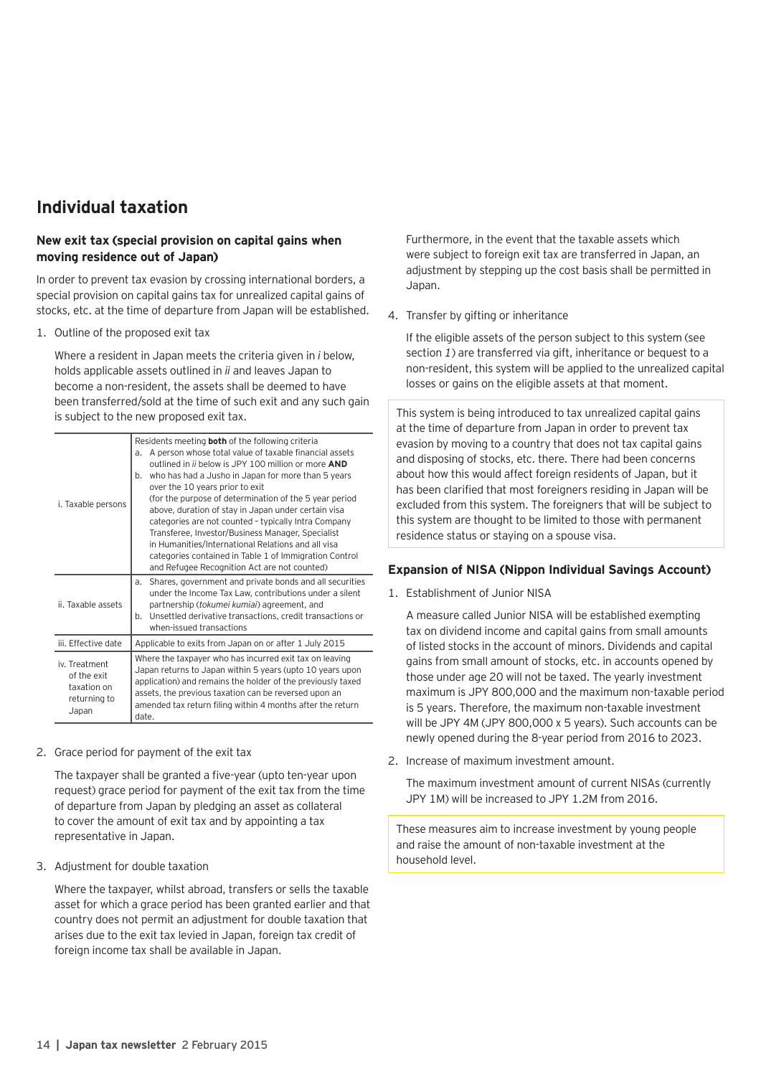## **Individual taxation**

### **New exit tax (special provision on capital gains when moving residence out of Japan)**

In order to prevent tax evasion by crossing international borders, a special provision on capital gains tax for unrealized capital gains of stocks, etc. at the time of departure from Japan will be established.

1. Outline of the proposed exit tax

Where a resident in Japan meets the criteria given in *i* below, holds applicable assets outlined in *ii* and leaves Japan to become a non-resident, the assets shall be deemed to have been transferred/sold at the time of such exit and any such gain is subject to the new proposed exit tax.

| i. Taxable persons                                                   | Residents meeting <b>both</b> of the following criteria<br>A person whose total value of taxable financial assets<br>a.<br>outlined in ii below is JPY 100 million or more AND<br>who has had a Jusho in Japan for more than 5 years<br>b.<br>over the 10 years prior to exit<br>(for the purpose of determination of the 5 year period<br>above, duration of stay in Japan under certain visa<br>categories are not counted - typically Intra Company<br>Transferee, Investor/Business Manager, Specialist<br>in Humanities/International Relations and all visa<br>categories contained in Table 1 of Immigration Control |  |
|----------------------------------------------------------------------|-----------------------------------------------------------------------------------------------------------------------------------------------------------------------------------------------------------------------------------------------------------------------------------------------------------------------------------------------------------------------------------------------------------------------------------------------------------------------------------------------------------------------------------------------------------------------------------------------------------------------------|--|
|                                                                      | and Refugee Recognition Act are not counted)                                                                                                                                                                                                                                                                                                                                                                                                                                                                                                                                                                                |  |
| ii. Taxable assets                                                   | Shares, government and private bonds and all securities<br>a.<br>under the Income Tax Law, contributions under a silent<br>partnership (tokumei kumiai) agreement, and<br>Unsettled derivative transactions, credit transactions or<br>b.<br>when-issued transactions                                                                                                                                                                                                                                                                                                                                                       |  |
| iii. Effective date                                                  | Applicable to exits from Japan on or after 1 July 2015                                                                                                                                                                                                                                                                                                                                                                                                                                                                                                                                                                      |  |
| iv. Treatment<br>of the exit<br>taxation on<br>returning to<br>Japan | Where the taxpayer who has incurred exit tax on leaving<br>Japan returns to Japan within 5 years (upto 10 years upon<br>application) and remains the holder of the previously taxed<br>assets, the previous taxation can be reversed upon an<br>amended tax return filing within 4 months after the return<br>date.                                                                                                                                                                                                                                                                                                         |  |

2. Grace period for payment of the exit tax

The taxpayer shall be granted a five-year (upto ten-year upon request) grace period for payment of the exit tax from the time of departure from Japan by pledging an asset as collateral to cover the amount of exit tax and by appointing a tax representative in Japan.

3. Adjustment for double taxation

Where the taxpayer, whilst abroad, transfers or sells the taxable asset for which a grace period has been granted earlier and that country does not permit an adjustment for double taxation that arises due to the exit tax levied in Japan, foreign tax credit of foreign income tax shall be available in Japan.

Furthermore, in the event that the taxable assets which were subject to foreign exit tax are transferred in Japan, an adjustment by stepping up the cost basis shall be permitted in Japan.

4. Transfer by gifting or inheritance

If the eligible assets of the person subject to this system (see section *1*) are transferred via gift, inheritance or bequest to a non-resident, this system will be applied to the unrealized capital losses or gains on the eligible assets at that moment.

This system is being introduced to tax unrealized capital gains at the time of departure from Japan in order to prevent tax evasion by moving to a country that does not tax capital gains and disposing of stocks, etc. there. There had been concerns about how this would affect foreign residents of Japan, but it has been clarified that most foreigners residing in Japan will be excluded from this system. The foreigners that will be subject to this system are thought to be limited to those with permanent residence status or staying on a spouse visa.

#### **Expansion of NISA (Nippon Individual Savings Account)**

1. Establishment of Junior NISA

A measure called Junior NISA will be established exempting tax on dividend income and capital gains from small amounts of listed stocks in the account of minors. Dividends and capital gains from small amount of stocks, etc. in accounts opened by those under age 20 will not be taxed. The yearly investment maximum is JPY 800,000 and the maximum non-taxable period is 5 years. Therefore, the maximum non-taxable investment will be JPY 4M (JPY 800,000 x 5 years). Such accounts can be newly opened during the 8-year period from 2016 to 2023.

2. Increase of maximum investment amount.

The maximum investment amount of current NISAs (currently JPY 1M) will be increased to JPY 1.2M from 2016.

These measures aim to increase investment by young people and raise the amount of non-taxable investment at the household level.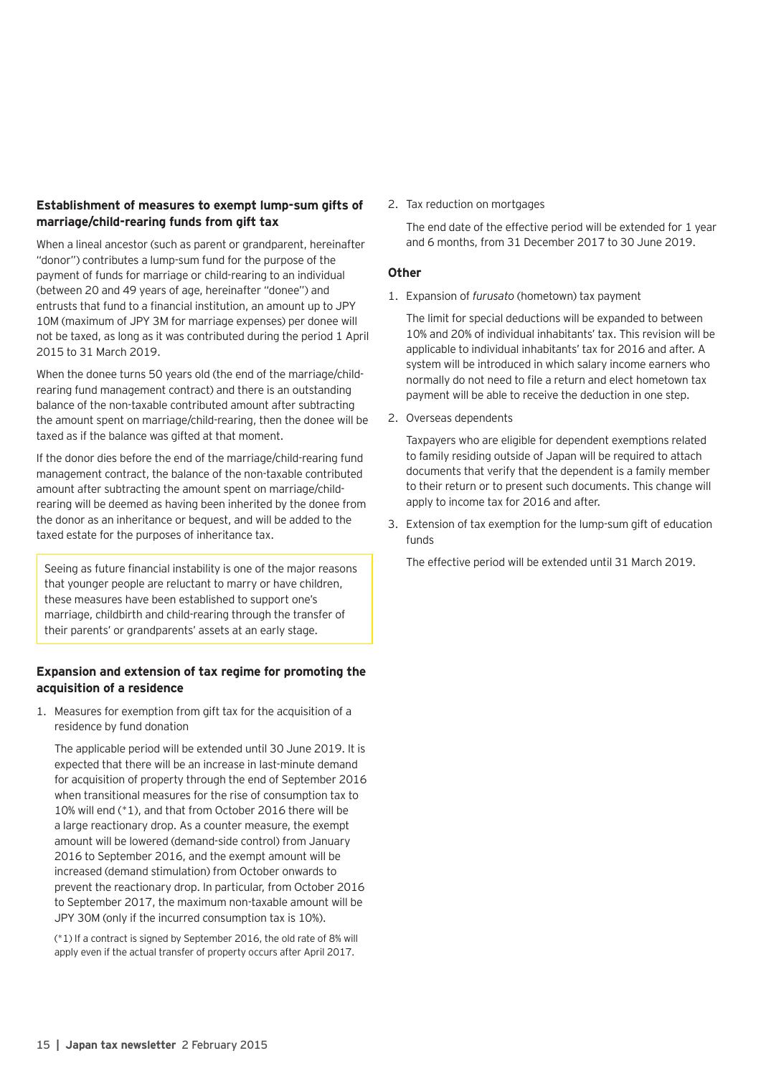#### **Establishment of measures to exempt lump-sum gifts of marriage/child-rearing funds from gift tax**

When a lineal ancestor (such as parent or grandparent, hereinafter "donor") contributes a lump-sum fund for the purpose of the payment of funds for marriage or child-rearing to an individual (between 20 and 49 years of age, hereinafter "donee") and entrusts that fund to a financial institution, an amount up to JPY 10M (maximum of JPY 3M for marriage expenses) per donee will not be taxed, as long as it was contributed during the period 1 April 2015 to 31 March 2019.

When the donee turns 50 years old (the end of the marriage/childrearing fund management contract) and there is an outstanding balance of the non-taxable contributed amount after subtracting the amount spent on marriage/child-rearing, then the donee will be taxed as if the balance was gifted at that moment.

If the donor dies before the end of the marriage/child-rearing fund management contract, the balance of the non-taxable contributed amount after subtracting the amount spent on marriage/childrearing will be deemed as having been inherited by the donee from the donor as an inheritance or bequest, and will be added to the taxed estate for the purposes of inheritance tax.

Seeing as future financial instability is one of the major reasons that younger people are reluctant to marry or have children, these measures have been established to support one's marriage, childbirth and child-rearing through the transfer of their parents' or grandparents' assets at an early stage.

#### **Expansion and extension of tax regime for promoting the acquisition of a residence**

1. Measures for exemption from gift tax for the acquisition of a residence by fund donation

The applicable period will be extended until 30 June 2019. It is expected that there will be an increase in last-minute demand for acquisition of property through the end of September 2016 when transitional measures for the rise of consumption tax to 10% will end (\*1), and that from October 2016 there will be a large reactionary drop. As a counter measure, the exempt amount will be lowered (demand-side control) from January 2016 to September 2016, and the exempt amount will be increased (demand stimulation) from October onwards to prevent the reactionary drop. In particular, from October 2016 to September 2017, the maximum non-taxable amount will be JPY 30M (only if the incurred consumption tax is 10%).

(\*1) If a contract is signed by September 2016, the old rate of 8% will apply even if the actual transfer of property occurs after April 2017.

2. Tax reduction on mortgages

The end date of the effective period will be extended for 1 year and 6 months, from 31 December 2017 to 30 June 2019.

#### **Other**

1. Expansion of *furusato* (hometown) tax payment

The limit for special deductions will be expanded to between 10% and 20% of individual inhabitants' tax. This revision will be applicable to individual inhabitants' tax for 2016 and after. A system will be introduced in which salary income earners who normally do not need to file a return and elect hometown tax payment will be able to receive the deduction in one step.

2. Overseas dependents

Taxpayers who are eligible for dependent exemptions related to family residing outside of Japan will be required to attach documents that verify that the dependent is a family member to their return or to present such documents. This change will apply to income tax for 2016 and after.

3. Extension of tax exemption for the lump-sum gift of education funds

The effective period will be extended until 31 March 2019.